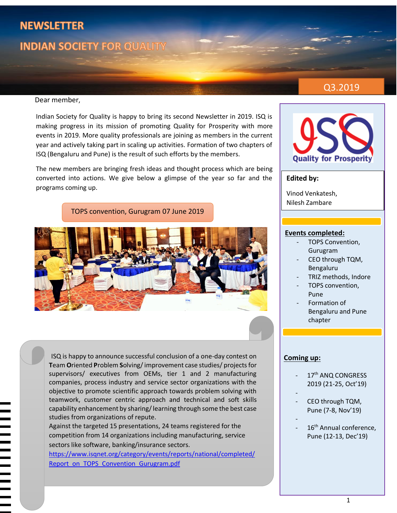# **NEWSLETTER**

# **INDIAN SOCIETY FOR QUALITY**

## Q3.2019

#### Dear member,

Indian Society for Quality is happy to bring its second Newsletter in 2019. ISQ is making progress in its mission of promoting Quality for Prosperity with more events in 2019. More quality professionals are joining as members in the current year and actively taking part in scaling up activities. Formation of two chapters of ISQ (Bengaluru and Pune) is the result of such efforts by the members.

The new members are bringing fresh ideas and thought process which are being converted into actions. We give below a glimpse of the year so far and the programs coming up.

TOPS convention, Gurugram 07 June 2019



ISQ is happy to announce successful conclusion of a one-day contest on **T**eam **O**riented **P**roblem **S**olving/improvement case studies/ projects for supervisors/ executives from OEMs, tier 1 and 2 manufacturing companies, process industry and service sector organizations with the objective to promote scientific approach towards problem solving with teamwork, customer centric approach and technical and soft skills capability enhancement by sharing/ learning through some the best case studies from organizations of repute.

Against the targeted 15 presentations, 24 teams registered for the competition from 14 organizations including manufacturing, service sectors like software, banking/insurance sectors.

[https://www.isqnet.org/category/events/reports/national/completed/](https://www.isqnet.org/category/events/reports/national/completed/Report_on_TOPS_Convention_Gurugram.pdf) [Report\\_on\\_TOPS\\_Convention\\_Gurugram.pdf](https://www.isqnet.org/category/events/reports/national/completed/Report_on_TOPS_Convention_Gurugram.pdf)



#### **Edited by:**

Vinod Venkatesh, Nilesh Zambare

#### **Events completed:**

- TOPS Convention, Gurugram
- CEO through TQM, Bengaluru
- TRIZ methods, Indore
- TOPS convention, Pune
- Formation of Bengaluru and Pune chapter

#### **Coming up:**

- 17<sup>th</sup> ANQ CONGRESS 2019 (21-25, Oct'19)
- CEO through TQM, Pune (7-8, Nov'19)
	-

-

16<sup>th</sup> Annual conference, Pune (12-13, Dec'19)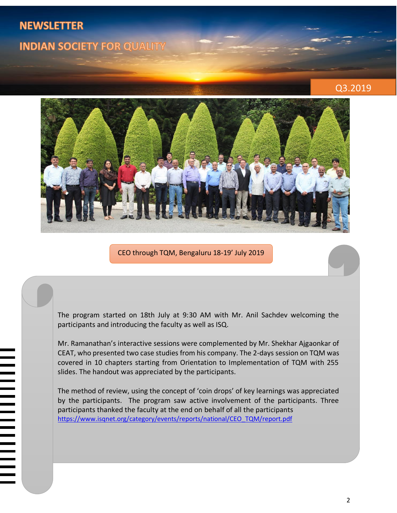# **NEWSLETTER INDIAN SOCIETY FOR QUALITY**

## Q3.2019



CEO through TQM, Bengaluru 18-19' July 2019

The program started on 18th July at 9:30 AM with Mr. Anil Sachdev welcoming the participants and introducing the faculty as well as ISQ.

Mr. Ramanathan's interactive sessions were complemented by Mr. Shekhar Ajgaonkar of CEAT, who presented two case studies from his company. The 2-days session on TQM was covered in 10 chapters starting from Orientation to Implementation of TQM with 255 slides. The handout was appreciated by the participants.

The method of review, using the concept of 'coin drops' of key learnings was appreciated by the participants. The program saw active involvement of the participants. Three participants thanked the faculty at the end on behalf of all the participants [https://www.isqnet.org/category/events/reports/national/CEO\\_TQM/report.pdf](https://www.isqnet.org/category/events/reports/national/CEO_TQM/report.pdf)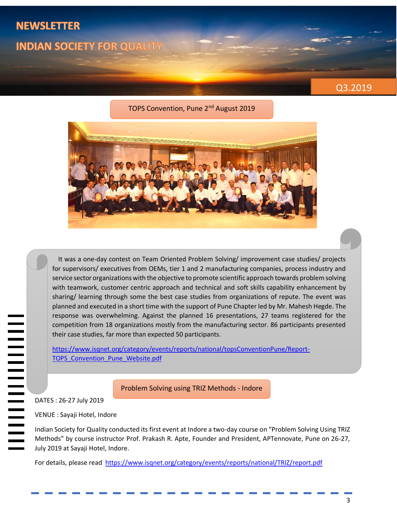# **NEWSLETTER INDIAN SOCIETY FOR QUALITY**



#### TOPS Convention, Pune 2<sup>nd</sup> August 2019



 It was a one-day contest on Team Oriented Problem Solving/ improvement case studies/ projects for supervisors/ executives from OEMs, tier 1 and 2 manufacturing companies, process industry and service sector organizations with the objective to promote scientific approach towards problem solving with teamwork, customer centric approach and technical and soft skills capability enhancement by sharing/ learning through some the best case studies from organizations of repute. The event was planned and executed in a short time with the support of Pune Chapter led by Mr. Mahesh Hegde. The response was overwhelming. Against the planned 16 presentations, 27 teams registered for the competition from 18 organizations mostly from the manufacturing sector. 86 participants presented their case studies, far more than expected 50 participants.

[https://www.isqnet.org/category/events/reports/national/topsConventionPune/Report-](https://www.isqnet.org/category/events/reports/national/topsConventionPune/Report-TOPS_Convention_Pune_Website.pdf)TOPS Convention Pune Website.pdf

Problem Solving using TRIZ Methods - Indore

DATES : 26-27 July 2019

|<br>|<br>|<br>|<br>|<br>|<br>|<br><br><br><br><br><br><br><br>

VENUE : Sayaji Hotel, Indore

Indian Society for Quality conducted its first event at Indore a two-day course on "Problem Solving Using TRIZ Methods" by course instructor Prof. Prakash R. Apte, Founder and President, APTennovate, Pune on 26-27, July 2019 at Sayaji Hotel, Indore.

For details, please read<https://www.isqnet.org/category/events/reports/national/TRIZ/report.pdf>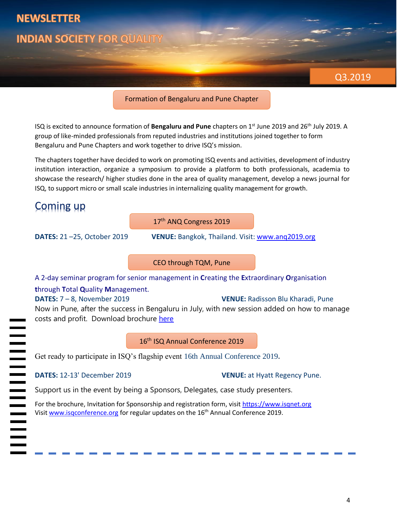

#### Formation of Bengaluru and Pune Chapter

ISQ is excited to announce formation of **Bengaluru and Pune** chapters on 1st June 2019 and 26th July 2019. A group of like-minded professionals from reputed industries and institutions joined together to form Bengaluru and Pune Chapters and work together to drive ISQ's mission.

The chapters together have decided to work on promoting ISQ events and activities, development of industry institution interaction, organize a symposium to provide a platform to both professionals, academia to showcase the research/ higher studies done in the area of quality management, develop a news journal for ISQ, to support micro or small scale industries in internalizing quality management for growth.

# Coming up

17<sup>th</sup> ANQ Congress 2019

**DATES:** 21 –25, October 2019 **VENUE:** Bangkok, Thailand. Visit: [www.anq2019.org](http://www.anq2019.org/)

CEO through TQM, Pune

A 2-day seminar program for senior management in **C**reating the **E**xtraordinary **O**rganisation

#### **t**hrough **T**otal **Q**uality **M**anagement.

**DATES:** 7 – 8, November 2019 **VENUE:** Radisson Blu Kharadi, Pune

Now in Pune, after the success in Bengaluru in July, with new session added on how to manage costs and profit. Download brochure [here](https://www.isqnet.org/wp-content/uploads/2019/09/CEOthroughTQM_Pune_v3.pdf)

#### 16<sup>th</sup> ISQ Annual Conference 2019

Get ready to participate in ISQ's flagship event 16th Annual Conference 2019**.**

|<br>|<br>|<br>|<br>|<br>|<br>|<br>|<br>|

**DATES:** 12-13' December 2019 **VENUE:** at Hyatt Regency Pune.

Support us in the event by being a Sponsors, Delegates, case study presenters.

For the brochure, Invitation for Sponsorship and registration form, visit [https://www.isqnet.org](https://www.isqnet.org/category/events/national/index.html) Visi[t www.isqconference.org](http://www.isqconference.org/) for regular updates on the 16th Annual Conference 2019.